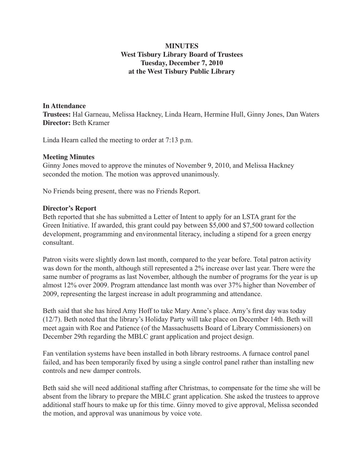## **MINUTES West Tisbury Library Board of Trustees Tuesday, December 7, 2010 at the West Tisbury Public Library**

#### **In Attendance**

**Trustees:** Hal Garneau, Melissa Hackney, Linda Hearn, Hermine Hull, Ginny Jones, Dan Waters **Director:** Beth Kramer

Linda Hearn called the meeting to order at 7:13 p.m.

#### **Meeting Minutes**

Ginny Jones moved to approve the minutes of November 9, 2010, and Melissa Hackney seconded the motion. The motion was approved unanimously.

No Friends being present, there was no Friends Report.

#### **Director's Report**

Beth reported that she has submitted a Letter of Intent to apply for an LSTA grant for the Green Initiative. If awarded, this grant could pay between \$5,000 and \$7,500 toward collection development, programming and environmental literacy, including a stipend for a green energy consultant.

Patron visits were slightly down last month, compared to the year before. Total patron activity was down for the month, although still represented a 2% increase over last year. There were the same number of programs as last November, although the number of programs for the year is up almost 12% over 2009. Program attendance last month was over 37% higher than November of 2009, representing the largest increase in adult programming and attendance.

Beth said that she has hired Amy Hoff to take Mary Anne's place. Amy's first day was today (12/7). Beth noted that the library's Holiday Party will take place on December 14th. Beth will meet again with Roe and Patience (of the Massachusetts Board of Library Commissioners) on December 29th regarding the MBLC grant application and project design.

Fan ventilation systems have been installed in both library restrooms. A furnace control panel failed, and has been temporarily fixed by using a single control panel rather than installing new controls and new damper controls.

Beth said she will need additional staffing after Christmas, to compensate for the time she will be absent from the library to prepare the MBLC grant application. She asked the trustees to approve additional staff hours to make up for this time. Ginny moved to give approval, Melissa seconded the motion, and approval was unanimous by voice vote.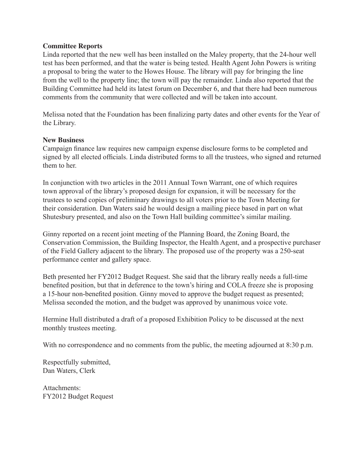#### **Committee Reports**

Linda reported that the new well has been installed on the Maley property, that the 24-hour well test has been performed, and that the water is being tested. Health Agent John Powers is writing a proposal to bring the water to the Howes House. The library will pay for bringing the line from the well to the property line; the town will pay the remainder. Linda also reported that the Building Committee had held its latest forum on December 6, and that there had been numerous comments from the community that were collected and will be taken into account.

Melissa noted that the Foundation has been finalizing party dates and other events for the Year of the Library.

#### **New Business**

Campaign finance law requires new campaign expense disclosure forms to be completed and signed by all elected officials. Linda distributed forms to all the trustees, who signed and returned them to her.

In conjunction with two articles in the 2011 Annual Town Warrant, one of which requires town approval of the library's proposed design for expansion, it will be necessary for the trustees to send copies of preliminary drawings to all voters prior to the Town Meeting for their consideration. Dan Waters said he would design a mailing piece based in part on what Shutesbury presented, and also on the Town Hall building committee's similar mailing.

Ginny reported on a recent joint meeting of the Planning Board, the Zoning Board, the Conservation Commission, the Building Inspector, the Health Agent, and a prospective purchaser of the Field Gallery adjacent to the library. The proposed use of the property was a 250-seat performance center and gallery space.

Beth presented her FY2012 Budget Request. She said that the library really needs a full-time benefited position, but that in deference to the town's hiring and COLA freeze she is proposing a 15-hour non-benefited position. Ginny moved to approve the budget request as presented; Melissa seconded the motion, and the budget was approved by unanimous voice vote.

Hermine Hull distributed a draft of a proposed Exhibition Policy to be discussed at the next monthly trustees meeting.

With no correspondence and no comments from the public, the meeting adjourned at 8:30 p.m.

Respectfully submitted, Dan Waters, Clerk

Attachments: FY2012 Budget Request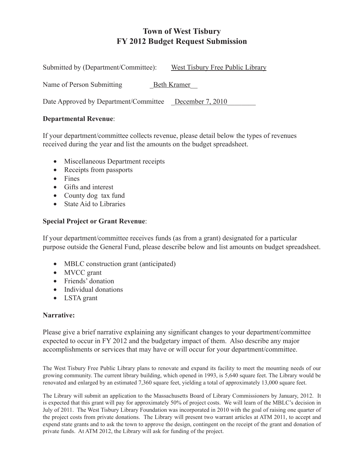# **Town of West Tisbury FY 2012 Budget Request Submission**

| Submitted by (Department/Committee):                   | West Tisbury Free Public Library |
|--------------------------------------------------------|----------------------------------|
| Name of Person Submitting                              | <b>Beth Kramer</b>               |
| Date Approved by Department/Committee December 7, 2010 |                                  |

#### **Departmental Revenue**:

If your department/committee collects revenue, please detail below the types of revenues received during the year and list the amounts on the budget spreadsheet.

- Miscellaneous Department receipts
- Receipts from passports
- Fines
- Gifts and interest
- County dog tax fund
- State Aid to Libraries

### **Special Project or Grant Revenue**:

If your department/committee receives funds (as from a grant) designated for a particular purpose outside the General Fund, please describe below and list amounts on budget spreadsheet.

- MBLC construction grant (anticipated)
- MVCC grant
- Friends' donation
- Individual donations
- LSTA grant

### **Narrative:**

Please give a brief narrative explaining any significant changes to your department/committee expected to occur in FY 2012 and the budgetary impact of them. Also describe any major accomplishments or services that may have or will occur for your department/committee.

The West Tisbury Free Public Library plans to renovate and expand its facility to meet the mounting needs of our growing community. The current library building, which opened in 1993, is 5,640 square feet. The Library would be renovated and enlarged by an estimated 7,360 square feet, yielding a total of approximately 13,000 square feet.

The Library will submit an application to the Massachusetts Board of Library Commissioners by January, 2012. It is expected that this grant will pay for approximately 50% of project costs. We will learn of the MBLC's decision in July of 2011. The West Tisbury Library Foundation was incorporated in 2010 with the goal of raising one quarter of the project costs from private donations. The Library will present two warrant articles at ATM 2011, to accept and expend state grants and to ask the town to approve the design, contingent on the receipt of the grant and donation of private funds. At ATM 2012, the Library will ask for funding of the project.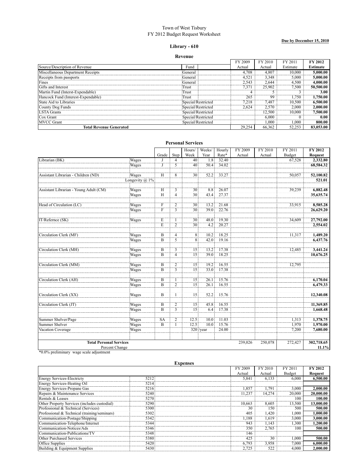#### Town of West Tisbury FY 2012 Budget Request Worksheet

**Due by December 15, 2010**

#### **Library - 610**

#### **Revenue**

|                                    |                    | FY 2009 | FY 2010 | FY 2011  | <b>FV 2012</b>  |
|------------------------------------|--------------------|---------|---------|----------|-----------------|
| Source/Description of Revenue      | Fund               | Actual  | Actual  | Estimate | <b>Estimate</b> |
| Miscellaneous Department Receipts  | General            | 4.708   | 4.807   | 10.000   | 0.000.001       |
| Receipts from passports            | General)           | 4.521   | 3.348   | 5.000    | 5.000.00        |
| Fines                              | General)           | -543    | 2.644   | 4.500    | .000.00         |
| IGifts and Interest                | Trust              | -371    | 25.902  | 7.500    | 50,500.00       |
| Martin Fund (Interst-Exnendable)   | Trust              |         |         |          | 3.00            |
| Hancock Fund (Interest-Expendable) | Trust              | 265     | 99      | .750     | .750.00         |
| State Aid to Libraries             | Special/Restricted | 7.218   | 7.487   | 10.500   | .500.00         |
| County Dog Funds                   | Special/Restricted | 2.624   |         | 2.000    |                 |
| <b>STA</b> Grants                  | Special/Restricted |         | 2.500   | 10.000   | .500.00         |
| lCox Grant                         | Special/Restricted |         | 6.000   |          | 0.00            |
| <b>MVCC</b> Grant                  | Special/Restricted |         | .000.   | .000     | 800.00          |
| <b>Total Revenue Generated</b>     |                    | 29.254  | 66.362  | 52.253   |                 |

|                                        |                    |                                       |                    | Hours/                             | Weeks/           | Hourly       | FY 2009 | FY 2010 | FY 2011 | <b>FY 2012</b> |
|----------------------------------------|--------------------|---------------------------------------|--------------------|------------------------------------|------------------|--------------|---------|---------|---------|----------------|
|                                        |                    | Grade                                 | Step               | Week                               | Year             | Rate*        | Actual  | Actual  | Budget  | Request        |
| Librarian (BK)                         | Wages              |                                       | 4                  | 40 <sup>3</sup>                    | 1.8              | 32.40        |         |         | 67,528  | 2.332.80       |
|                                        | Wages              |                                       | 5                  | 40 <sup>3</sup>                    | 50.4             | 34.02        |         |         |         | 68,584.32      |
|                                        |                    |                                       |                    |                                    |                  |              |         |         |         |                |
| Assistant Librarian - Children (ND)    | Wages              | ΪÏ                                    | $\overline{8}$     | 30 <sup>1</sup>                    |                  | $52.2$ 33.27 |         |         | 50,057  | 52,100.82      |
|                                        | Longevity $(a)$ 1% |                                       |                    |                                    |                  |              |         |         |         | 521.01         |
|                                        |                    |                                       |                    |                                    |                  |              |         |         |         |                |
| Assistant Librarian - Young Adult (CM) | Wages              | H                                     | 3                  | 30 <sub>1</sub>                    | 8.8 <sup>1</sup> | 26.07        |         |         | 39,239  | 6,882.48       |
|                                        | Wages              | $\overline{H}$                        | $\overline{4}$     | 30 <sup>3</sup>                    | 43.4             | 27.37        |         |         |         | 35,635.74      |
| Head of Circulation (LC)               | Wages              | $\mathbf F$                           | $\overline{2}$     | 30 <sup>3</sup>                    | 13.2             | 21.68        |         |         | 33,915  | 8.585.28       |
|                                        | Wages              | Ŧ                                     | $\overline{3}$     | $\overline{30}$                    |                  | $39.0$ 22.76 |         |         |         | 26,629.20      |
|                                        |                    |                                       |                    |                                    |                  |              |         |         |         |                |
| IT/Refernce (SK)                       | Wages              |                                       |                    |                                    | 48.0             | 19.30        |         |         | 34,609  | 27,792.00      |
|                                        |                    | $\frac{\widetilde{E}}{\widetilde{E}}$ | $\frac{1}{2}$      | $\frac{30}{30}$                    | 4.2              | 20.27        |         |         |         | 2,554.02       |
|                                        |                    |                                       |                    |                                    |                  |              |         |         |         |                |
| Circulation Clerk (MF)                 | Wages              | B                                     | $\overline{4}$     | $\overline{8}$                     | 10.2             | 18.25        |         |         | 11,317  | 1,489.20       |
|                                        | Wages              | $\overline{B}$                        | $\tilde{5}$        | $\overline{8}$                     | 42.0             | 19.16        |         |         |         | 6.437.76       |
|                                        |                    |                                       |                    |                                    |                  |              |         |         |         |                |
| Circulation Clerk (MH)                 | Wages              | B                                     | 3                  | 15                                 | 13.2             | 17.38        |         |         | 12,485  | 3,441.24       |
|                                        | Wages              | $\overline{B}$                        | $\frac{5}{4}$      | 15                                 | 39.0             | 18.25        |         |         |         | 10,676.25      |
|                                        |                    |                                       |                    |                                    |                  |              |         |         |         |                |
| Circulation Clerk (MM)                 | Wages              | $\overline{B}$                        | $\overline{2}$     | 15 <sub>1</sub>                    | 19.2             | 16.55        |         |         | 12,795  |                |
|                                        | Wages              | $\overline{B}$                        | $\overline{3}$     | $\overline{15}$                    |                  | 33.0 17.38   |         |         |         |                |
|                                        |                    |                                       |                    |                                    |                  |              |         |         |         |                |
| Circulation Clerk (AH)                 | Wages              | $\mathbf{B}$<br>$\overline{B}$        | 1<br>$\frac{1}{2}$ | 15 <sup>3</sup><br>$\overline{15}$ | 26.1             | 15.76        |         |         |         | 6,170.04       |
|                                        | Wages              |                                       |                    |                                    | 26.1             | 16.55        |         |         |         | 6,479.33       |
| Circulation Clerk (XX)                 |                    | $\overline{B}$                        | $\mathbf{1}$       | $\overline{15}$                    | 52.2             | 15.76        |         |         |         | 12,340.08      |
|                                        | Wages              |                                       |                    |                                    |                  |              |         |         |         |                |
| Circulation Clerk (JT)                 | Wages              | B                                     | $\overline{2}$     | 15 <sup>3</sup>                    | 45.8             | 16.55        |         |         |         | 11,369.85      |
|                                        | Wages              | B                                     | 3                  | 15 <sup>3</sup>                    | 6.4              | 17.38        |         |         |         | 1,668.48       |
|                                        |                    |                                       |                    |                                    |                  |              |         |         |         |                |
| Summer Shelver/Page                    | Wages              | <b>SA</b>                             | $\overline{2}$     | 12.5                               | 10.0             | 11.03        |         |         | 1,313   | 1,378.75       |
| Summer Shelver                         | Wages              | $\overline{B}$                        | $\mathbf{1}$       | 12.5                               | 10.0             | 15.76        |         |         | 1.970   | 1,970.00       |
| Vacation Coverage                      | Wages              |                                       |                    |                                    | 320 /year        | 24.00        |         |         | 7,200   | 7,680.00       |
|                                        |                    |                                       |                    |                                    |                  |              |         |         |         |                |
| <b>Total Personal Services</b>         |                    |                                       |                    |                                    |                  |              |         |         |         | 302,718.65     |
|                                        |                    |                                       |                    |                                    |                  |              | 239,026 | 250,078 | 272,427 |                |
| Percent Change                         |                    |                                       |                    |                                    |                  |              |         |         |         | 11.1%          |

**Personal Services**

\*0.0% preliminary wage scale adjustment

|                                              |      | <b>Expenses</b> |         |         |                 |           |
|----------------------------------------------|------|-----------------|---------|---------|-----------------|-----------|
|                                              |      |                 | FY 2009 | FY 2010 | FY 201          | FY 2012   |
|                                              |      |                 | Actual  | Actual  | <b>Budget</b>   | Request   |
| <b>Energy Services-Electricty</b>            | 5212 |                 | 5.841   | 6.133   | 6.000           | 6.500.00  |
| Energy Services-Heating Oil                  | 5214 |                 |         |         |                 |           |
| Energy Services-Propane Gas                  | 5216 |                 | 1.857   | 1.791   | 3,000           | 2,000.00  |
| Repairs & Maintenance Services               | 5240 |                 | 11.237  | 14.274  | 20,000          | 20,000.00 |
| Rentals & Leases                             | 5270 |                 |         |         | 100             | 100.00    |
| Other Property Services (includes custodial) | 5290 |                 | 10.663  | 8.605   | 13,500          | 13.000.00 |
| Professional & Technical (Services)          | 5300 |                 | 30      | 150     | 500             | 500.00    |
| Professional & Technical (training/seminars) | 5302 |                 |         | .420    | .000            | 1.000.00  |
| Communication-Postage/Shipping               | 5342 |                 | 1.188   | .619    | 3.000           | 3,000.00  |
| Communication-Telephone/Internet             | 5344 |                 | 943     | 1.143   | .300            | 1,200.00  |
| Communication-Notices/Ads                    | 5346 |                 | 350     | 2.765   | 10 <sup>c</sup> | 500.00    |
| Communication-Publications/TV                | 5348 |                 | 146     |         |                 |           |
| Other Purchased Services                     | 5380 |                 | 425     | 30      | .000            | 500.00    |
| <b>Office Supplies</b>                       | 5420 |                 | 6.793:  | 3.958   | 7.000           | 6,000.00  |
| Building & Equipment Supplies                | 5430 |                 | 2.725   | 522     | 4.000           | 2,000.00  |